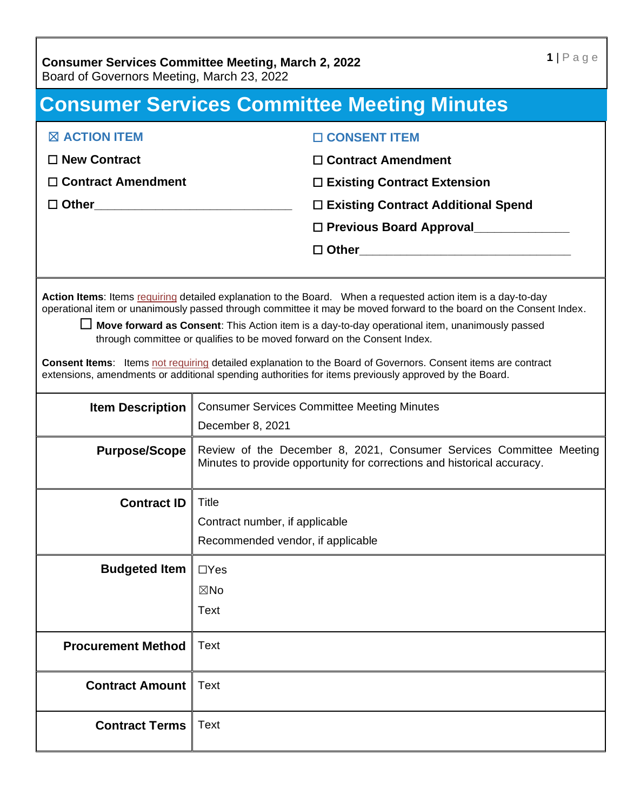# **Consumer Services Committee Meeting Minutes**

| <b>EX ACTION ITEM</b>                   | $\Box$ CONSENT ITEM                  |
|-----------------------------------------|--------------------------------------|
| $\Box$ New Contract                     | $\Box$ Contract Amendment            |
| $\Box$ Contract Amendment               | $\Box$ Existing Contract Extension   |
| □ Other <u>________________________</u> | □ Existing Contract Additional Spend |
|                                         | □ Previous Board Approval            |
|                                         | $\Box$ Other                         |
|                                         |                                      |

Action Items: Items requiring detailed explanation to the Board. When a requested action item is a day-to-day operational item or unanimously passed through committee it may be moved forward to the board on the Consent Index.

☐ **Move forward as Consent**: This Action item is a day-to-day operational item, unanimously passed through committee or qualifies to be moved forward on the Consent Index.

**Consent Items**: Items not requiring detailed explanation to the Board of Governors. Consent items are contract extensions, amendments or additional spending authorities for items previously approved by the Board.

| <b>Item Description</b>   | <b>Consumer Services Committee Meeting Minutes</b><br>December 8, 2021                                                                         |
|---------------------------|------------------------------------------------------------------------------------------------------------------------------------------------|
| <b>Purpose/Scope</b>      | Review of the December 8, 2021, Consumer Services Committee Meeting<br>Minutes to provide opportunity for corrections and historical accuracy. |
| <b>Contract ID</b>        | Title<br>Contract number, if applicable<br>Recommended vendor, if applicable                                                                   |
| <b>Budgeted Item</b>      | $\Box$ Yes<br>$\boxtimes$ No<br>Text                                                                                                           |
| <b>Procurement Method</b> | <b>Text</b>                                                                                                                                    |
| <b>Contract Amount</b>    | <b>Text</b>                                                                                                                                    |
| <b>Contract Terms</b>     | <b>Text</b>                                                                                                                                    |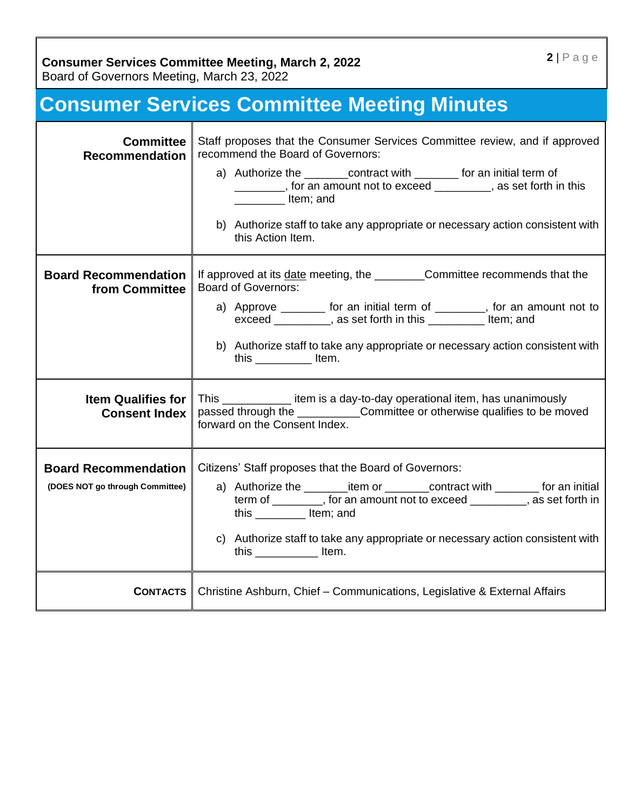Board of Governors Meeting, March 23, 2022

# **Consumer Services Committee Meeting Minutes**

| <b>Committee</b><br><b>Recommendation</b>                      | Staff proposes that the Consumer Services Committee review, and if approved<br>recommend the Board of Governors:<br>a) Authorize the ________contract with ________ for an initial term of<br>_______, for an amount not to exceed _______, as set forth in this<br>ltem; and<br>b) Authorize staff to take any appropriate or necessary action consistent with<br>this Action Item.                              |
|----------------------------------------------------------------|-------------------------------------------------------------------------------------------------------------------------------------------------------------------------------------------------------------------------------------------------------------------------------------------------------------------------------------------------------------------------------------------------------------------|
| <b>Board Recommendation</b><br>from Committee                  | If approved at its date meeting, the _______________Committee recommends that the<br><b>Board of Governors:</b><br>a) Approve ________ for an initial term of ________, for an amount not to<br>exceed _________, as set forth in this ___________ Item; and<br>b) Authorize staff to take any appropriate or necessary action consistent with<br>this $\sqrt{ }$ ltem.                                           |
| <b>Item Qualifies for</b><br><b>Consent Index</b>              | This ________________ item is a day-to-day operational item, has unanimously<br>passed through the Committee or otherwise qualifies to be moved<br>forward on the Consent Index.                                                                                                                                                                                                                                  |
| <b>Board Recommendation</b><br>(DOES NOT go through Committee) | Citizens' Staff proposes that the Board of Governors:<br>a) Authorize the ____________item or ___________contract with __________ for an initial<br>term of ________, for an amount not to exceed ________, as set forth in<br>this $\frac{1}{\sqrt{1-\frac{1}{2}}}\$ Item; and<br>c) Authorize staff to take any appropriate or necessary action consistent with<br>this $\frac{1}{\sqrt{1-\frac{1}{2}}}\$ ltem. |
| <b>CONTACTS</b>                                                | Christine Ashburn, Chief - Communications, Legislative & External Affairs                                                                                                                                                                                                                                                                                                                                         |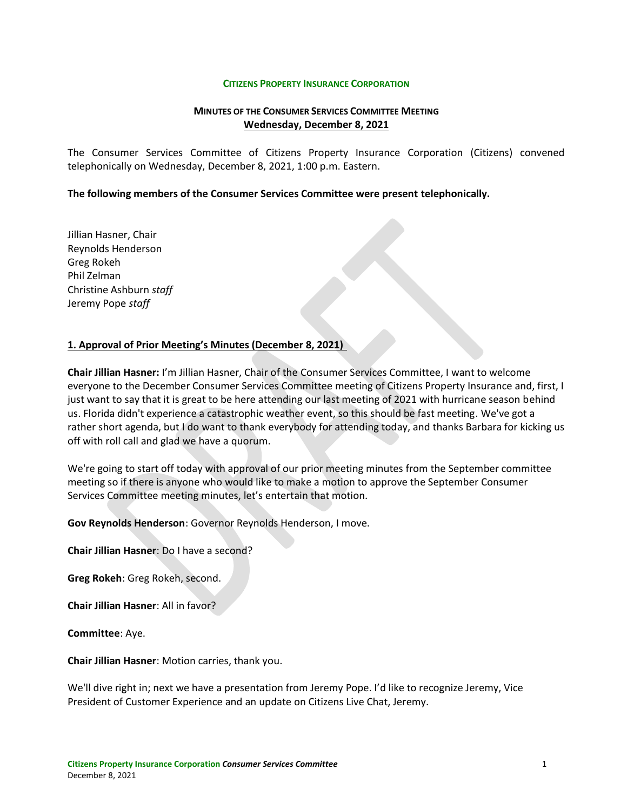#### **CITIZENS PROPERTY INSURANCE CORPORATION**

#### **MINUTES OF THE CONSUMER SERVICES COMMITTEE MEETING Wednesday, December 8, 2021**

The Consumer Services Committee of Citizens Property Insurance Corporation (Citizens) convened telephonically on Wednesday, December 8, 2021, 1:00 p.m. Eastern.

#### **The following members of the Consumer Services Committee were present telephonically.**

Jillian Hasner, Chair Reynolds Henderson Greg Rokeh Phil Zelman Christine Ashburn *staff* Jeremy Pope *staff*

#### **1. Approval of Prior Meeting's Minutes (December 8, 2021)**

**Chair Jillian Hasner:** I'm Jillian Hasner, Chair of the Consumer Services Committee, I want to welcome everyone to the December Consumer Services Committee meeting of Citizens Property Insurance and, first, I just want to say that it is great to be here attending our last meeting of 2021 with hurricane season behind us. Florida didn't experience a catastrophic weather event, so this should be fast meeting. We've got a rather short agenda, but I do want to thank everybody for attending today, and thanks Barbara for kicking us off with roll call and glad we have a quorum.

We're going to start off today with approval of our prior meeting minutes from the September committee meeting so if there is anyone who would like to make a motion to approve the September Consumer Services Committee meeting minutes, let's entertain that motion.

**Gov Reynolds Henderson**: Governor Reynolds Henderson, I move.

**Chair Jillian Hasner**: Do I have a second?

**Greg Rokeh**: Greg Rokeh, second.

**Chair Jillian Hasner**: All in favor?

**Committee**: Aye.

**Chair Jillian Hasner**: Motion carries, thank you.

We'll dive right in; next we have a presentation from Jeremy Pope. I'd like to recognize Jeremy, Vice President of Customer Experience and an update on Citizens Live Chat, Jeremy.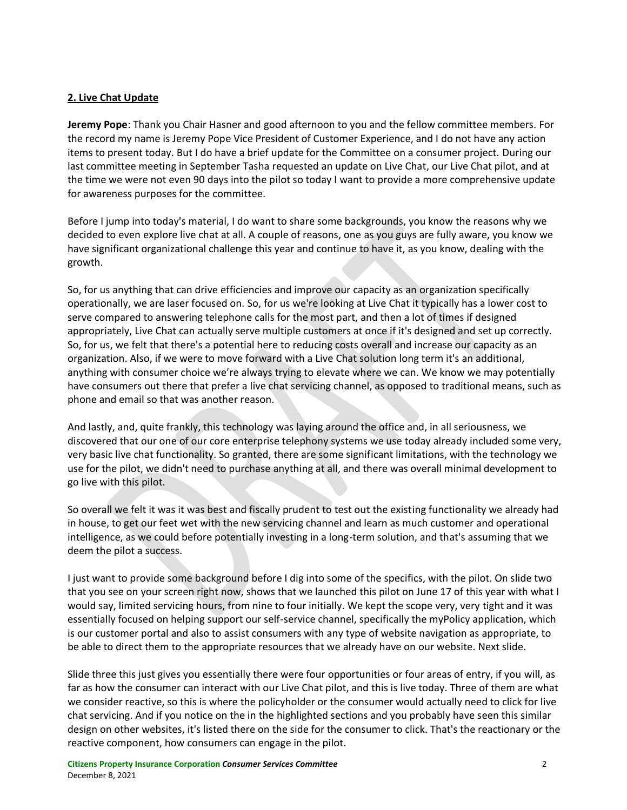## **2. Live Chat Update**

**Jeremy Pope**: Thank you Chair Hasner and good afternoon to you and the fellow committee members. For the record my name is Jeremy Pope Vice President of Customer Experience, and I do not have any action items to present today. But I do have a brief update for the Committee on a consumer project. During our last committee meeting in September Tasha requested an update on Live Chat, our Live Chat pilot, and at the time we were not even 90 days into the pilot so today I want to provide a more comprehensive update for awareness purposes for the committee.

Before I jump into today's material, I do want to share some backgrounds, you know the reasons why we decided to even explore live chat at all. A couple of reasons, one as you guys are fully aware, you know we have significant organizational challenge this year and continue to have it, as you know, dealing with the growth.

So, for us anything that can drive efficiencies and improve our capacity as an organization specifically operationally, we are laser focused on. So, for us we're looking at Live Chat it typically has a lower cost to serve compared to answering telephone calls for the most part, and then a lot of times if designed appropriately, Live Chat can actually serve multiple customers at once if it's designed and set up correctly. So, for us, we felt that there's a potential here to reducing costs overall and increase our capacity as an organization. Also, if we were to move forward with a Live Chat solution long term it's an additional, anything with consumer choice we're always trying to elevate where we can. We know we may potentially have consumers out there that prefer a live chat servicing channel, as opposed to traditional means, such as phone and email so that was another reason.

And lastly, and, quite frankly, this technology was laying around the office and, in all seriousness, we discovered that our one of our core enterprise telephony systems we use today already included some very, very basic live chat functionality. So granted, there are some significant limitations, with the technology we use for the pilot, we didn't need to purchase anything at all, and there was overall minimal development to go live with this pilot.

So overall we felt it was it was best and fiscally prudent to test out the existing functionality we already had in house, to get our feet wet with the new servicing channel and learn as much customer and operational intelligence, as we could before potentially investing in a long-term solution, and that's assuming that we deem the pilot a success.

I just want to provide some background before I dig into some of the specifics, with the pilot. On slide two that you see on your screen right now, shows that we launched this pilot on June 17 of this year with what I would say, limited servicing hours, from nine to four initially. We kept the scope very, very tight and it was essentially focused on helping support our self-service channel, specifically the myPolicy application, which is our customer portal and also to assist consumers with any type of website navigation as appropriate, to be able to direct them to the appropriate resources that we already have on our website. Next slide.

Slide three this just gives you essentially there were four opportunities or four areas of entry, if you will, as far as how the consumer can interact with our Live Chat pilot, and this is live today. Three of them are what we consider reactive, so this is where the policyholder or the consumer would actually need to click for live chat servicing. And if you notice on the in the highlighted sections and you probably have seen this similar design on other websites, it's listed there on the side for the consumer to click. That's the reactionary or the reactive component, how consumers can engage in the pilot.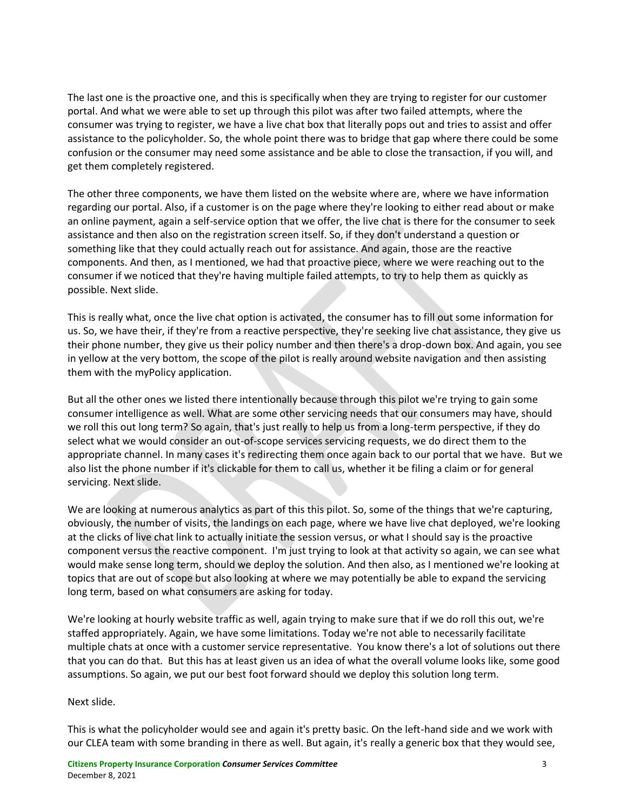The last one is the proactive one, and this is specifically when they are trying to register for our customer portal. And what we were able to set up through this pilot was after two failed attempts, where the consumer was trying to register, we have a live chat box that literally pops out and tries to assist and offer assistance to the policyholder. So, the whole point there was to bridge that gap where there could be some confusion or the consumer may need some assistance and be able to close the transaction, if you will, and get them completely registered.

The other three components, we have them listed on the website where are, where we have information regarding our portal. Also, if a customer is on the page where they're looking to either read about or make an online payment, again a self-service option that we offer, the live chat is there for the consumer to seek assistance and then also on the registration screen itself. So, if they don't understand a question or something like that they could actually reach out for assistance. And again, those are the reactive components. And then, as I mentioned, we had that proactive piece, where we were reaching out to the consumer if we noticed that they're having multiple failed attempts, to try to help them as quickly as possible. Next slide.

This is really what, once the live chat option is activated, the consumer has to fill out some information for us. So, we have their, if they're from a reactive perspective, they're seeking live chat assistance, they give us their phone number, they give us their policy number and then there's a drop-down box. And again, you see in yellow at the very bottom, the scope of the pilot is really around website navigation and then assisting them with the myPolicy application.

But all the other ones we listed there intentionally because through this pilot we're trying to gain some consumer intelligence as well. What are some other servicing needs that our consumers may have, should we roll this out long term? So again, that's just really to help us from a long-term perspective, if they do select what we would consider an out-of-scope services servicing requests, we do direct them to the appropriate channel. In many cases it's redirecting them once again back to our portal that we have. But we also list the phone number if it's clickable for them to call us, whether it be filing a claim or for general servicing. Next slide.

We are looking at numerous analytics as part of this this pilot. So, some of the things that we're capturing, obviously, the number of visits, the landings on each page, where we have live chat deployed, we're looking at the clicks of live chat link to actually initiate the session versus, or what I should say is the proactive component versus the reactive component. I'm just trying to look at that activity so again, we can see what would make sense long term, should we deploy the solution. And then also, as I mentioned we're looking at topics that are out of scope but also looking at where we may potentially be able to expand the servicing long term, based on what consumers are asking for today.

We're looking at hourly website traffic as well, again trying to make sure that if we do roll this out, we're staffed appropriately. Again, we have some limitations. Today we're not able to necessarily facilitate multiple chats at once with a customer service representative. You know there's a lot of solutions out there that you can do that. But this has at least given us an idea of what the overall volume looks like, some good assumptions. So again, we put our best foot forward should we deploy this solution long term.

Next slide.

This is what the policyholder would see and again it's pretty basic. On the left-hand side and we work with our CLEA team with some branding in there as well. But again, it's really a generic box that they would see,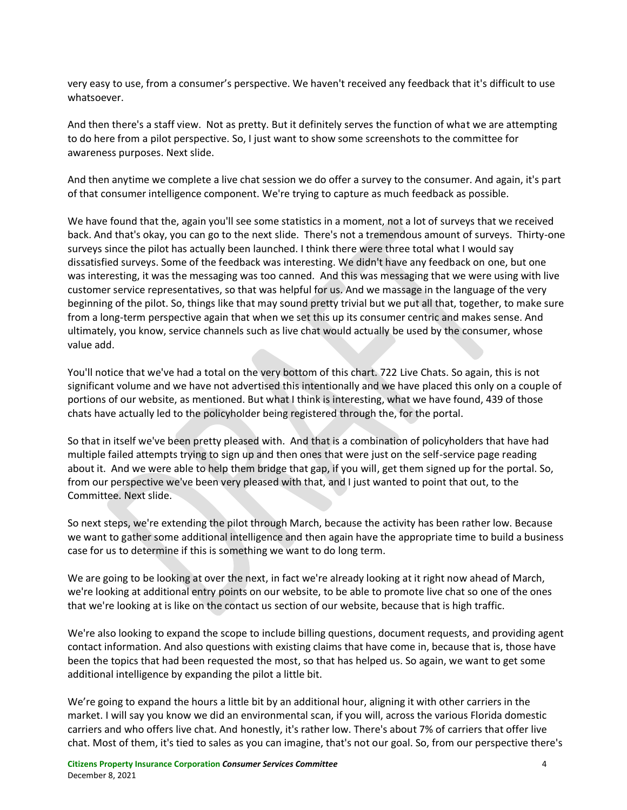very easy to use, from a consumer's perspective. We haven't received any feedback that it's difficult to use whatsoever.

And then there's a staff view. Not as pretty. But it definitely serves the function of what we are attempting to do here from a pilot perspective. So, I just want to show some screenshots to the committee for awareness purposes. Next slide.

And then anytime we complete a live chat session we do offer a survey to the consumer. And again, it's part of that consumer intelligence component. We're trying to capture as much feedback as possible.

We have found that the, again you'll see some statistics in a moment, not a lot of surveys that we received back. And that's okay, you can go to the next slide. There's not a tremendous amount of surveys. Thirty-one surveys since the pilot has actually been launched. I think there were three total what I would say dissatisfied surveys. Some of the feedback was interesting. We didn't have any feedback on one, but one was interesting, it was the messaging was too canned. And this was messaging that we were using with live customer service representatives, so that was helpful for us. And we massage in the language of the very beginning of the pilot. So, things like that may sound pretty trivial but we put all that, together, to make sure from a long-term perspective again that when we set this up its consumer centric and makes sense. And ultimately, you know, service channels such as live chat would actually be used by the consumer, whose value add.

You'll notice that we've had a total on the very bottom of this chart. 722 Live Chats. So again, this is not significant volume and we have not advertised this intentionally and we have placed this only on a couple of portions of our website, as mentioned. But what I think is interesting, what we have found, 439 of those chats have actually led to the policyholder being registered through the, for the portal.

So that in itself we've been pretty pleased with. And that is a combination of policyholders that have had multiple failed attempts trying to sign up and then ones that were just on the self-service page reading about it. And we were able to help them bridge that gap, if you will, get them signed up for the portal. So, from our perspective we've been very pleased with that, and I just wanted to point that out, to the Committee. Next slide.

So next steps, we're extending the pilot through March, because the activity has been rather low. Because we want to gather some additional intelligence and then again have the appropriate time to build a business case for us to determine if this is something we want to do long term.

We are going to be looking at over the next, in fact we're already looking at it right now ahead of March, we're looking at additional entry points on our website, to be able to promote live chat so one of the ones that we're looking at is like on the contact us section of our website, because that is high traffic.

We're also looking to expand the scope to include billing questions, document requests, and providing agent contact information. And also questions with existing claims that have come in, because that is, those have been the topics that had been requested the most, so that has helped us. So again, we want to get some additional intelligence by expanding the pilot a little bit.

We're going to expand the hours a little bit by an additional hour, aligning it with other carriers in the market. I will say you know we did an environmental scan, if you will, across the various Florida domestic carriers and who offers live chat. And honestly, it's rather low. There's about 7% of carriers that offer live chat. Most of them, it's tied to sales as you can imagine, that's not our goal. So, from our perspective there's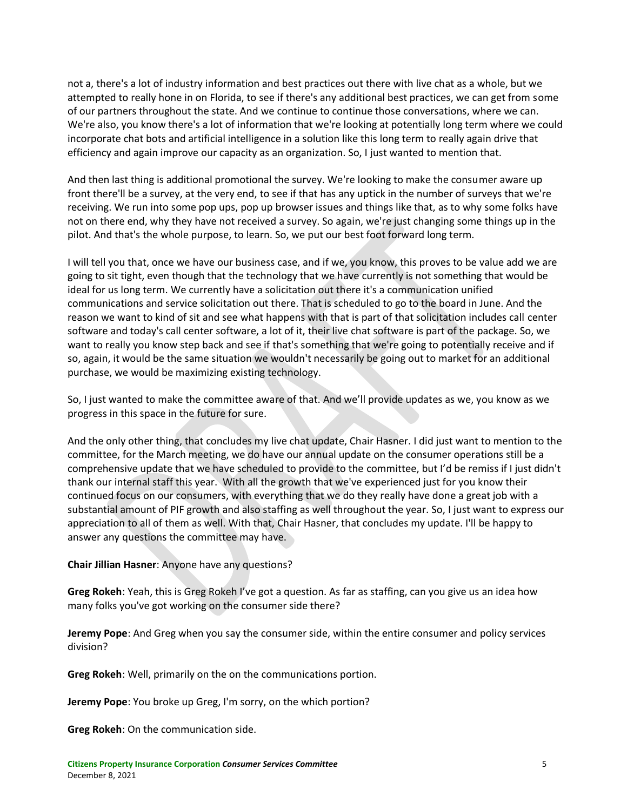not a, there's a lot of industry information and best practices out there with live chat as a whole, but we attempted to really hone in on Florida, to see if there's any additional best practices, we can get from some of our partners throughout the state. And we continue to continue those conversations, where we can. We're also, you know there's a lot of information that we're looking at potentially long term where we could incorporate chat bots and artificial intelligence in a solution like this long term to really again drive that efficiency and again improve our capacity as an organization. So, I just wanted to mention that.

And then last thing is additional promotional the survey. We're looking to make the consumer aware up front there'll be a survey, at the very end, to see if that has any uptick in the number of surveys that we're receiving. We run into some pop ups, pop up browser issues and things like that, as to why some folks have not on there end, why they have not received a survey. So again, we're just changing some things up in the pilot. And that's the whole purpose, to learn. So, we put our best foot forward long term.

I will tell you that, once we have our business case, and if we, you know, this proves to be value add we are going to sit tight, even though that the technology that we have currently is not something that would be ideal for us long term. We currently have a solicitation out there it's a communication unified communications and service solicitation out there. That is scheduled to go to the board in June. And the reason we want to kind of sit and see what happens with that is part of that solicitation includes call center software and today's call center software, a lot of it, their live chat software is part of the package. So, we want to really you know step back and see if that's something that we're going to potentially receive and if so, again, it would be the same situation we wouldn't necessarily be going out to market for an additional purchase, we would be maximizing existing technology.

So, I just wanted to make the committee aware of that. And we'll provide updates as we, you know as we progress in this space in the future for sure.

And the only other thing, that concludes my live chat update, Chair Hasner. I did just want to mention to the committee, for the March meeting, we do have our annual update on the consumer operations still be a comprehensive update that we have scheduled to provide to the committee, but I'd be remiss if I just didn't thank our internal staff this year. With all the growth that we've experienced just for you know their continued focus on our consumers, with everything that we do they really have done a great job with a substantial amount of PIF growth and also staffing as well throughout the year. So, I just want to express our appreciation to all of them as well. With that, Chair Hasner, that concludes my update. I'll be happy to answer any questions the committee may have.

### **Chair Jillian Hasner**: Anyone have any questions?

**Greg Rokeh**: Yeah, this is Greg Rokeh I've got a question. As far as staffing, can you give us an idea how many folks you've got working on the consumer side there?

**Jeremy Pope**: And Greg when you say the consumer side, within the entire consumer and policy services division?

**Greg Rokeh**: Well, primarily on the on the communications portion.

**Jeremy Pope**: You broke up Greg, I'm sorry, on the which portion?

**Greg Rokeh**: On the communication side.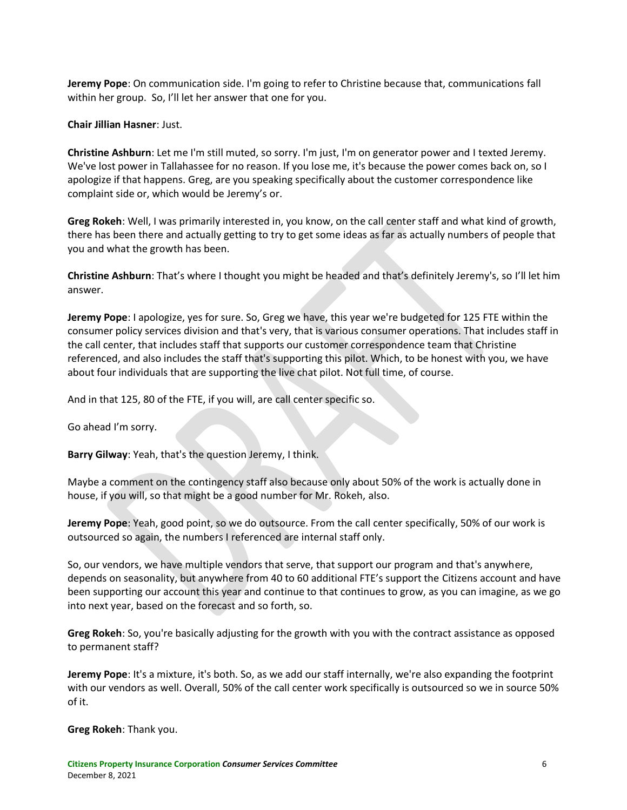**Jeremy Pope**: On communication side. I'm going to refer to Christine because that, communications fall within her group. So, I'll let her answer that one for you.

**Chair Jillian Hasner**: Just.

**Christine Ashburn**: Let me I'm still muted, so sorry. I'm just, I'm on generator power and I texted Jeremy. We've lost power in Tallahassee for no reason. If you lose me, it's because the power comes back on, so I apologize if that happens. Greg, are you speaking specifically about the customer correspondence like complaint side or, which would be Jeremy's or.

**Greg Rokeh**: Well, I was primarily interested in, you know, on the call center staff and what kind of growth, there has been there and actually getting to try to get some ideas as far as actually numbers of people that you and what the growth has been.

**Christine Ashburn**: That's where I thought you might be headed and that's definitely Jeremy's, so I'll let him answer.

**Jeremy Pope**: I apologize, yes for sure. So, Greg we have, this year we're budgeted for 125 FTE within the consumer policy services division and that's very, that is various consumer operations. That includes staff in the call center, that includes staff that supports our customer correspondence team that Christine referenced, and also includes the staff that's supporting this pilot. Which, to be honest with you, we have about four individuals that are supporting the live chat pilot. Not full time, of course.

And in that 125, 80 of the FTE, if you will, are call center specific so.

Go ahead I'm sorry.

**Barry Gilway**: Yeah, that's the question Jeremy, I think.

Maybe a comment on the contingency staff also because only about 50% of the work is actually done in house, if you will, so that might be a good number for Mr. Rokeh, also.

**Jeremy Pope**: Yeah, good point, so we do outsource. From the call center specifically, 50% of our work is outsourced so again, the numbers I referenced are internal staff only.

So, our vendors, we have multiple vendors that serve, that support our program and that's anywhere, depends on seasonality, but anywhere from 40 to 60 additional FTE's support the Citizens account and have been supporting our account this year and continue to that continues to grow, as you can imagine, as we go into next year, based on the forecast and so forth, so.

**Greg Rokeh**: So, you're basically adjusting for the growth with you with the contract assistance as opposed to permanent staff?

**Jeremy Pope**: It's a mixture, it's both. So, as we add our staff internally, we're also expanding the footprint with our vendors as well. Overall, 50% of the call center work specifically is outsourced so we in source 50% of it.

**Greg Rokeh**: Thank you.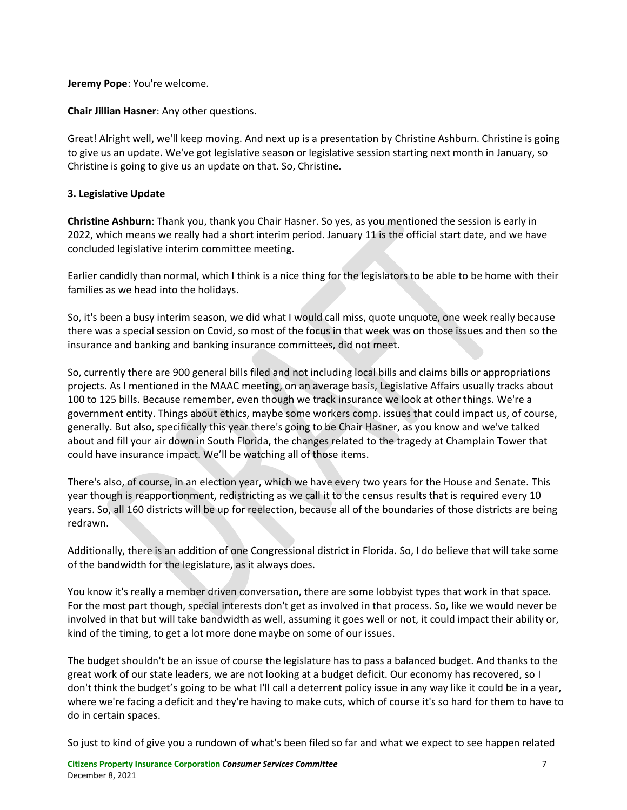**Jeremy Pope**: You're welcome.

**Chair Jillian Hasner**: Any other questions.

Great! Alright well, we'll keep moving. And next up is a presentation by Christine Ashburn. Christine is going to give us an update. We've got legislative season or legislative session starting next month in January, so Christine is going to give us an update on that. So, Christine.

# **3. Legislative Update**

**Christine Ashburn**: Thank you, thank you Chair Hasner. So yes, as you mentioned the session is early in 2022, which means we really had a short interim period. January 11 is the official start date, and we have concluded legislative interim committee meeting.

Earlier candidly than normal, which I think is a nice thing for the legislators to be able to be home with their families as we head into the holidays.

So, it's been a busy interim season, we did what I would call miss, quote unquote, one week really because there was a special session on Covid, so most of the focus in that week was on those issues and then so the insurance and banking and banking insurance committees, did not meet.

So, currently there are 900 general bills filed and not including local bills and claims bills or appropriations projects. As I mentioned in the MAAC meeting, on an average basis, Legislative Affairs usually tracks about 100 to 125 bills. Because remember, even though we track insurance we look at other things. We're a government entity. Things about ethics, maybe some workers comp. issues that could impact us, of course, generally. But also, specifically this year there's going to be Chair Hasner, as you know and we've talked about and fill your air down in South Florida, the changes related to the tragedy at Champlain Tower that could have insurance impact. We'll be watching all of those items.

There's also, of course, in an election year, which we have every two years for the House and Senate. This year though is reapportionment, redistricting as we call it to the census results that is required every 10 years. So, all 160 districts will be up for reelection, because all of the boundaries of those districts are being redrawn.

Additionally, there is an addition of one Congressional district in Florida. So, I do believe that will take some of the bandwidth for the legislature, as it always does.

You know it's really a member driven conversation, there are some lobbyist types that work in that space. For the most part though, special interests don't get as involved in that process. So, like we would never be involved in that but will take bandwidth as well, assuming it goes well or not, it could impact their ability or, kind of the timing, to get a lot more done maybe on some of our issues.

The budget shouldn't be an issue of course the legislature has to pass a balanced budget. And thanks to the great work of our state leaders, we are not looking at a budget deficit. Our economy has recovered, so I don't think the budget's going to be what I'll call a deterrent policy issue in any way like it could be in a year, where we're facing a deficit and they're having to make cuts, which of course it's so hard for them to have to do in certain spaces.

So just to kind of give you a rundown of what's been filed so far and what we expect to see happen related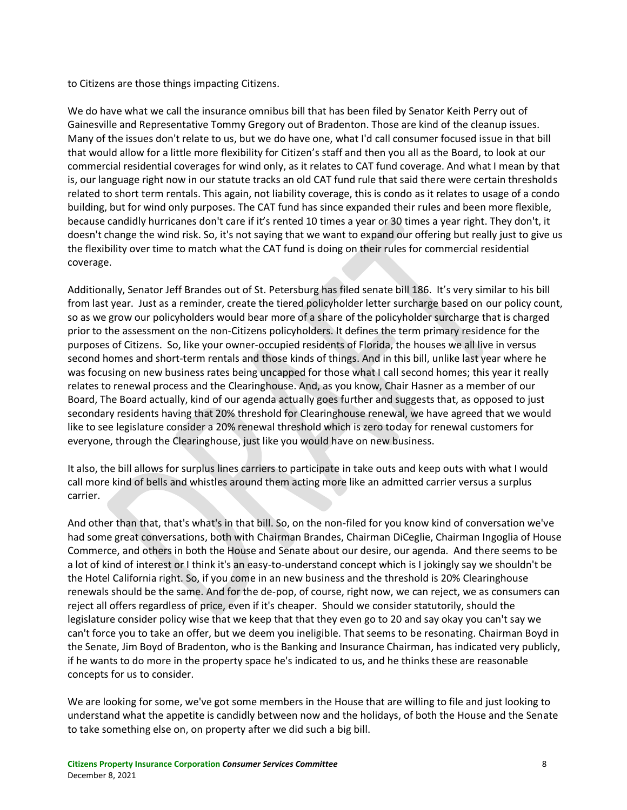to Citizens are those things impacting Citizens.

We do have what we call the insurance omnibus bill that has been filed by Senator Keith Perry out of Gainesville and Representative Tommy Gregory out of Bradenton. Those are kind of the cleanup issues. Many of the issues don't relate to us, but we do have one, what I'd call consumer focused issue in that bill that would allow for a little more flexibility for Citizen's staff and then you all as the Board, to look at our commercial residential coverages for wind only, as it relates to CAT fund coverage. And what I mean by that is, our language right now in our statute tracks an old CAT fund rule that said there were certain thresholds related to short term rentals. This again, not liability coverage, this is condo as it relates to usage of a condo building, but for wind only purposes. The CAT fund has since expanded their rules and been more flexible, because candidly hurricanes don't care if it's rented 10 times a year or 30 times a year right. They don't, it doesn't change the wind risk. So, it's not saying that we want to expand our offering but really just to give us the flexibility over time to match what the CAT fund is doing on their rules for commercial residential coverage.

Additionally, Senator Jeff Brandes out of St. Petersburg has filed senate bill 186. It's very similar to his bill from last year. Just as a reminder, create the tiered policyholder letter surcharge based on our policy count, so as we grow our policyholders would bear more of a share of the policyholder surcharge that is charged prior to the assessment on the non-Citizens policyholders. It defines the term primary residence for the purposes of Citizens. So, like your owner-occupied residents of Florida, the houses we all live in versus second homes and short-term rentals and those kinds of things. And in this bill, unlike last year where he was focusing on new business rates being uncapped for those what I call second homes; this year it really relates to renewal process and the Clearinghouse. And, as you know, Chair Hasner as a member of our Board, The Board actually, kind of our agenda actually goes further and suggests that, as opposed to just secondary residents having that 20% threshold for Clearinghouse renewal, we have agreed that we would like to see legislature consider a 20% renewal threshold which is zero today for renewal customers for everyone, through the Clearinghouse, just like you would have on new business.

It also, the bill allows for surplus lines carriers to participate in take outs and keep outs with what I would call more kind of bells and whistles around them acting more like an admitted carrier versus a surplus carrier.

And other than that, that's what's in that bill. So, on the non-filed for you know kind of conversation we've had some great conversations, both with Chairman Brandes, Chairman DiCeglie, Chairman Ingoglia of House Commerce, and others in both the House and Senate about our desire, our agenda. And there seems to be a lot of kind of interest or I think it's an easy-to-understand concept which is I jokingly say we shouldn't be the Hotel California right. So, if you come in an new business and the threshold is 20% Clearinghouse renewals should be the same. And for the de-pop, of course, right now, we can reject, we as consumers can reject all offers regardless of price, even if it's cheaper. Should we consider statutorily, should the legislature consider policy wise that we keep that that they even go to 20 and say okay you can't say we can't force you to take an offer, but we deem you ineligible. That seems to be resonating. Chairman Boyd in the Senate, Jim Boyd of Bradenton, who is the Banking and Insurance Chairman, has indicated very publicly, if he wants to do more in the property space he's indicated to us, and he thinks these are reasonable concepts for us to consider.

We are looking for some, we've got some members in the House that are willing to file and just looking to understand what the appetite is candidly between now and the holidays, of both the House and the Senate to take something else on, on property after we did such a big bill.